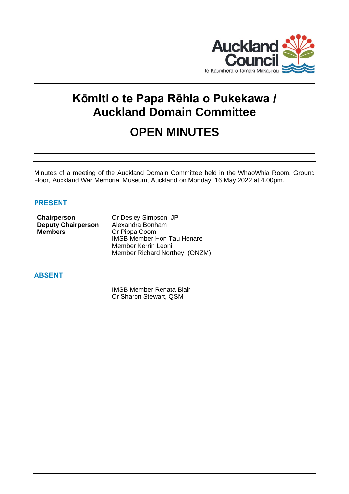

# **Kōmiti o te Papa Rēhia o Pukekawa / Auckland Domain Committee**

## **OPEN MINUTES**

Minutes of a meeting of the Auckland Domain Committee held in the WhaoWhia Room, Ground Floor, Auckland War Memorial Museum, Auckland on Monday, 16 May 2022 at 4.00pm.

## **PRESENT**

| Chairperson               | Cr Desley Simpson, JP             |
|---------------------------|-----------------------------------|
| <b>Deputy Chairperson</b> | Alexandra Bonham                  |
| <b>Members</b>            | Cr Pippa Coom                     |
|                           | <b>IMSB Member Hon Tau Henare</b> |
|                           | Member Kerrin Leoni               |
|                           | Member Richard Northey, (ONZM)    |

## **ABSENT**

IMSB Member Renata Blair Cr Sharon Stewart, QSM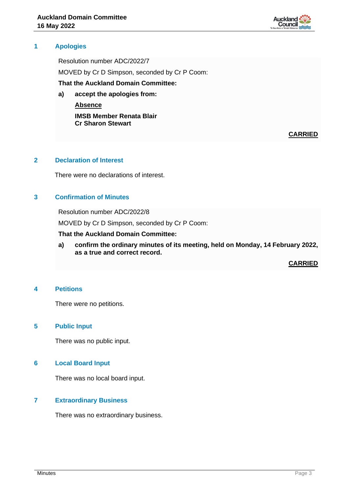

#### **1 Apologies**

Resolution number ADC/2022/7 MOVED by Cr D Simpson, seconded by Cr P Coom: **That the Auckland Domain Committee:**

**a) accept the apologies from: Absence**

> **IMSB Member Renata Blair Cr Sharon Stewart**

> > **CARRIED**

#### **2 Declaration of Interest**

There were no declarations of interest.

## **3 Confirmation of Minutes**

Resolution number ADC/2022/8

MOVED by Cr D Simpson, seconded by Cr P Coom:

**That the Auckland Domain Committee:**

**a) confirm the ordinary minutes of its meeting, held on Monday, 14 February 2022, as a true and correct record.**

**CARRIED**

#### **4 Petitions**

There were no petitions.

### **5 Public Input**

There was no public input.

## **6 Local Board Input**

There was no local board input.

#### **7 Extraordinary Business**

There was no extraordinary business.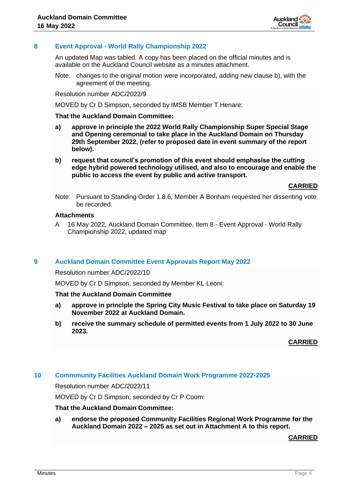

### **8 Event Approval - World Rally Championship 2022**

An updated Map was tabled. A copy has been placed on the official minutes and is available on the Auckland Council website as a minutes attachment.

Note: changes to the original motion were incorporated, adding new clause b), with the agreement of the meeting.

Resolution number ADC/2022/9

MOVED by Cr D Simpson, seconded by IMSB Member T Henare:

#### **That the Auckland Domain Committee:**

- **a) approve in principle the 2022 World Rally Championship Super Special Stage and Opening ceremonial to take place in the Auckland Domain on Thursday 29th September 2022, (refer to proposed date in event summary of the report below).**
- **b) request that council's promotion of this event should emphasise the cutting edge hybrid powered technology utilised, and also to encourage and enable the public to access the event by public and active transport.**

**CARRIED**

Note: Pursuant to Standing Order 1.8.6, Member A Bonham requested her dissenting vote be recorded.

#### **Attachments**

A 16 May 2022, Auckland Domain Committee, Item 8 - Event Approval - World Rally Championship 2022, updated map

#### **9 Auckland Domain Committee Event Approvals Report May 2022**

Resolution number ADC/2022/10

MOVED by Cr D Simpson, seconded by Member KL Leoni:

#### **That the Auckland Domain Committee**

- **a) approve in principle the Spring City Music Festival to take place on Saturday 19 November 2022 at Auckland Domain.**
- **b) receive the summary schedule of permitted events from 1 July 2022 to 30 June 2023.**

**CARRIED**

## **10 Commmunity Facilities Auckland Domain Work Programme 2022-2025**

Resolution number ADC/2022/11

MOVED by Cr D Simpson, seconded by Cr P Coom:

#### **That the Auckland Domain Committee:**

**a) endorse the proposed Community Facilities Regional Work Programme for the Auckland Domain 2022 – 2025 as set out in Attachment A to this report.**

**CARRIED**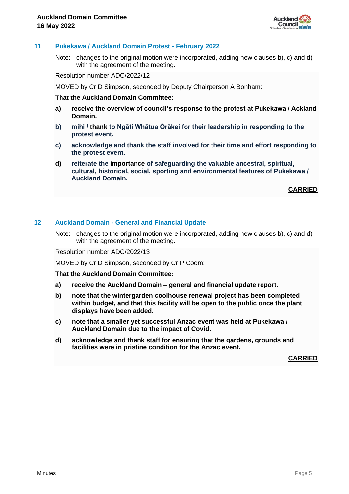

#### **11 Pukekawa / Auckland Domain Protest - February 2022**

Note: changes to the original motion were incorporated, adding new clauses b), c) and d), with the agreement of the meeting.

Resolution number ADC/2022/12

MOVED by Cr D Simpson, seconded by Deputy Chairperson A Bonham:

#### **That the Auckland Domain Committee:**

- **a) receive the overview of council's response to the protest at Pukekawa / Ackland Domain.**
- **b) mihi / thank to Ngāti Whātua Ōrākei for their leadership in responding to the protest event.**
- **c) acknowledge and thank the staff involved for their time and effort responding to the protest event.**
- **d) reiterate the importance of safeguarding the valuable ancestral, spiritual, cultural, historical, social, sporting and environmental features of Pukekawa / Auckland Domain.**

**CARRIED**

#### **12 Auckland Domain - General and Financial Update**

Note: changes to the original motion were incorporated, adding new clauses b), c) and d), with the agreement of the meeting.

Resolution number ADC/2022/13

MOVED by Cr D Simpson, seconded by Cr P Coom:

**That the Auckland Domain Committee:**

- **a) receive the Auckland Domain – general and financial update report.**
- **b) note that the wintergarden coolhouse renewal project has been completed within budget, and that this facility will be open to the public once the plant displays have been added.**
- **c) note that a smaller yet successful Anzac event was held at Pukekawa / Auckland Domain due to the impact of Covid.**
- **d) acknowledge and thank staff for ensuring that the gardens, grounds and facilities were in pristine condition for the Anzac event.**

**CARRIED**